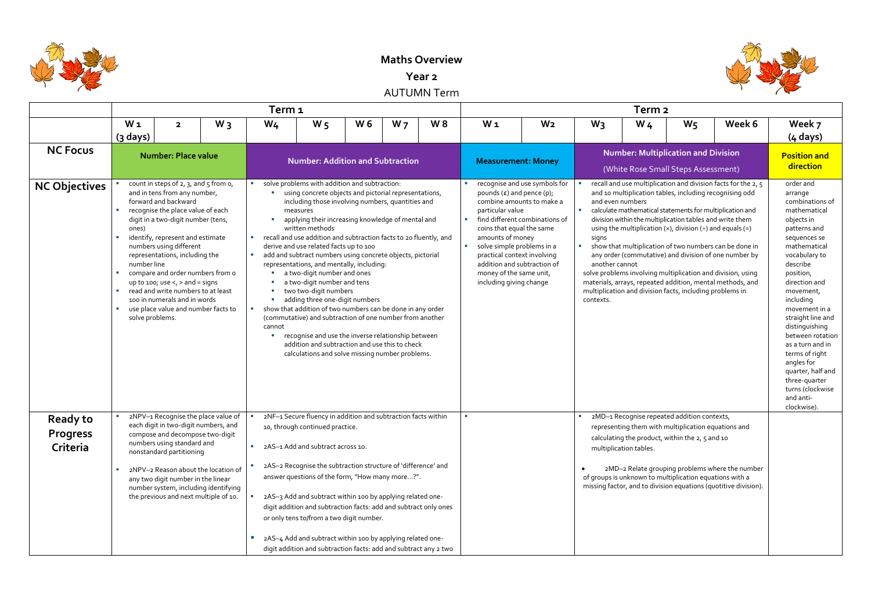

## **Maths Overview**

**Year 2**

AUTUMN Term

|                                                |                                                                         |                                                                                                                                                                                                                                                                                                                                                                                                                                                                                                 |       | Term <sub>1</sub>                                             |                                                                                                                                                                                                                                                                                                                                                                                                                                                                                                                                                                                                                                                                                                                                                                                                                                                                                         |     |                |     |                                                                                                                                                                                                                                                                                    |                                                                 |                                                                     | Term <sub>2</sub>                                                                                                                                                                                                                          |       |                                                                                                                                                                                                                                                                                                                                                                                                                                     |                                                                                                                                                                                                                                                                                                                                                                                                                                  |
|------------------------------------------------|-------------------------------------------------------------------------|-------------------------------------------------------------------------------------------------------------------------------------------------------------------------------------------------------------------------------------------------------------------------------------------------------------------------------------------------------------------------------------------------------------------------------------------------------------------------------------------------|-------|---------------------------------------------------------------|-----------------------------------------------------------------------------------------------------------------------------------------------------------------------------------------------------------------------------------------------------------------------------------------------------------------------------------------------------------------------------------------------------------------------------------------------------------------------------------------------------------------------------------------------------------------------------------------------------------------------------------------------------------------------------------------------------------------------------------------------------------------------------------------------------------------------------------------------------------------------------------------|-----|----------------|-----|------------------------------------------------------------------------------------------------------------------------------------------------------------------------------------------------------------------------------------------------------------------------------------|-----------------------------------------------------------------|---------------------------------------------------------------------|--------------------------------------------------------------------------------------------------------------------------------------------------------------------------------------------------------------------------------------------|-------|-------------------------------------------------------------------------------------------------------------------------------------------------------------------------------------------------------------------------------------------------------------------------------------------------------------------------------------------------------------------------------------------------------------------------------------|----------------------------------------------------------------------------------------------------------------------------------------------------------------------------------------------------------------------------------------------------------------------------------------------------------------------------------------------------------------------------------------------------------------------------------|
|                                                | W <sub>1</sub><br>(3 days)                                              | $\overline{\mathbf{2}}$                                                                                                                                                                                                                                                                                                                                                                                                                                                                         | $W_3$ | $W_4$                                                         | W <sub>5</sub>                                                                                                                                                                                                                                                                                                                                                                                                                                                                                                                                                                                                                                                                                                                                                                                                                                                                          | W 6 | W <sub>7</sub> | W 8 | $W_1$                                                                                                                                                                                                                                                                              | W <sub>2</sub>                                                  | $W_3$                                                               | W <sub>4</sub>                                                                                                                                                                                                                             | $W_5$ | Week 6                                                                                                                                                                                                                                                                                                                                                                                                                              | Week 7<br>$(4 \text{ days})$                                                                                                                                                                                                                                                                                                                                                                                                     |
| <b>NC Focus</b>                                |                                                                         | <b>Number: Place value</b>                                                                                                                                                                                                                                                                                                                                                                                                                                                                      |       |                                                               | <b>Number: Addition and Subtraction</b>                                                                                                                                                                                                                                                                                                                                                                                                                                                                                                                                                                                                                                                                                                                                                                                                                                                 |     |                |     | <b>Measurement: Money</b>                                                                                                                                                                                                                                                          |                                                                 |                                                                     | <b>Number: Multiplication and Division</b><br>(White Rose Small Steps Assessment)                                                                                                                                                          |       |                                                                                                                                                                                                                                                                                                                                                                                                                                     | <b>Position and</b><br>direction                                                                                                                                                                                                                                                                                                                                                                                                 |
| <b>NC Objectives</b>                           | ones)<br>٠<br>number line<br>$\mathcal{M}_{\rm eff}$<br><b>Contract</b> | count in steps of $2, 3$ , and $5$ from $0$ ,<br>and in tens from any number,<br>forward and backward<br>recognise the place value of each<br>digit in a two-digit number (tens,<br>identify, represent and estimate<br>numbers using different<br>representations, including the<br>compare and order numbers from o<br>up to 100; use $\lt$ , $>$ and = signs<br>read and write numbers to at least<br>100 in numerals and in words<br>use place value and number facts to<br>solve problems. |       | <b>College</b><br>$\mathcal{L}_{\mathcal{A}}$<br>a.<br>cannot | solve problems with addition and subtraction:<br>using concrete objects and pictorial representations,<br>including those involving numbers, quantities and<br>measures<br>applying their increasing knowledge of mental and<br>written methods<br>recall and use addition and subtraction facts to 20 fluently, and<br>derive and use related facts up to 100<br>add and subtract numbers using concrete objects, pictorial<br>representations, and mentally, including:<br>a two-digit number and ones<br>a two-digit number and tens<br>two two-digit numbers<br>adding three one-digit numbers<br>show that addition of two numbers can be done in any order<br>(commutative) and subtraction of one number from another<br>recognise and use the inverse relationship between<br>addition and subtraction and use this to check<br>calculations and solve missing number problems. |     |                |     | pounds $(E)$ and pence $(p)$ ;<br>combine amounts to make a<br>particular value<br>coins that equal the same<br>amounts of money<br>solve simple problems in a<br>practical context involving<br>addition and subtraction of<br>money of the same unit,<br>including giving change | recognise and use symbols for<br>find different combinations of | $\mathcal{L}_{\mathcal{A}}$<br>signs<br>another cannot<br>contexts. | and even numbers<br>division within the multiplication tables and write them<br>using the multiplication $(x)$ , division $(+)$ and equals $(=)$<br>multiplication and division facts, including problems in                               |       | recall and use multiplication and division facts for the 2, 5<br>and 10 multiplication tables, including recognising odd<br>calculate mathematical statements for multiplication and<br>show that multiplication of two numbers can be done in<br>any order (commutative) and division of one number by<br>solve problems involving multiplication and division, using<br>materials, arrays, repeated addition, mental methods, and | order and<br>arrange<br>combinations of<br>mathematical<br>objects in<br>patterns and<br>sequences se<br>mathematical<br>vocabulary to<br>describe<br>position,<br>direction and<br>movement,<br>including<br>movement in a<br>straight line and<br>distinguishing<br>between rotation<br>as a turn and in<br>terms of right<br>angles for<br>quarter, half and<br>three-quarter<br>turns (clockwise<br>and anti-<br>clockwise). |
| <b>Ready to</b><br><b>Progress</b><br>Criteria |                                                                         | 2NPV-1 Recognise the place value of<br>each digit in two-digit numbers, and<br>compose and decompose two-digit<br>numbers using standard and<br>nonstandard partitioning<br>2NPV-2 Reason about the location of<br>any two digit number in the linear<br>number system, including identifying<br>the previous and next multiple of 10.                                                                                                                                                          |       | <b>B</b>                                                      | 2NF-1 Secure fluency in addition and subtraction facts within<br>10, through continued practice.<br>2AS-1 Add and subtract across 10.<br>2AS-2 Recognise the subtraction structure of 'difference' and<br>answer questions of the form, "How many more?".<br>2AS-3 Add and subtract within 100 by applying related one-<br>digit addition and subtraction facts: add and subtract only ones<br>or only tens to/from a two digit number.<br>2AS-4 Add and subtract within 100 by applying related one-<br>digit addition and subtraction facts: add and subtract any 2 two                                                                                                                                                                                                                                                                                                               |     |                |     |                                                                                                                                                                                                                                                                                    |                                                                 |                                                                     | 2MD-1 Recognise repeated addition contexts,<br>representing them with multiplication equations and<br>calculating the product, within the 2, 5 and 10<br>multiplication tables.<br>of groups is unknown to multiplication equations with a |       | 2MD-2 Relate grouping problems where the number<br>missing factor, and to division equations (quotitive division).                                                                                                                                                                                                                                                                                                                  |                                                                                                                                                                                                                                                                                                                                                                                                                                  |

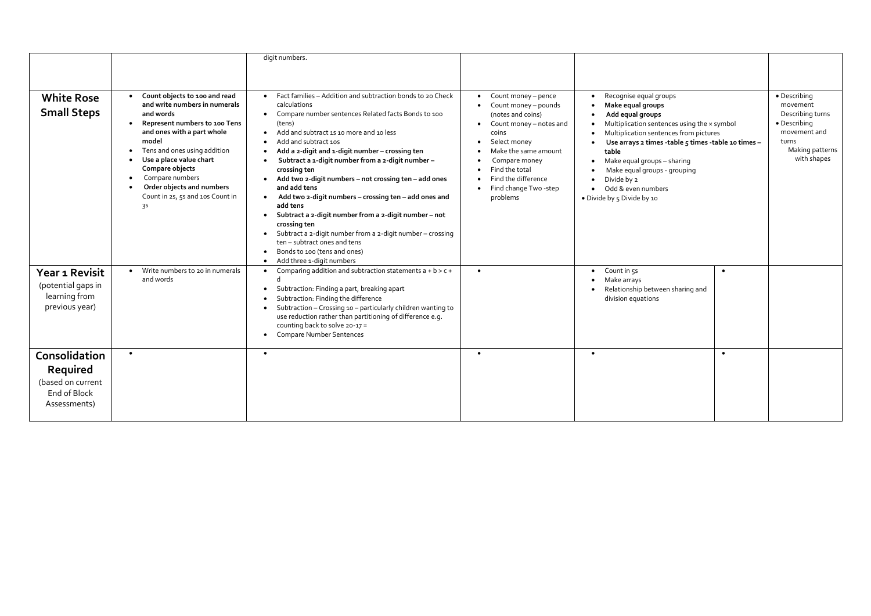|                                                                                |                                                                                                                                                                                                                                                                                                                                                                                | digit numbers.                                                                                                                                                                                                                                                                                                                                                                                                                                                                                                                                                                                                                                                                                                                       |                                                                                                                                                                                                                                                                       |                                                                                                                                                                                                                                                                                                                                                                        |                                                                                                                         |
|--------------------------------------------------------------------------------|--------------------------------------------------------------------------------------------------------------------------------------------------------------------------------------------------------------------------------------------------------------------------------------------------------------------------------------------------------------------------------|--------------------------------------------------------------------------------------------------------------------------------------------------------------------------------------------------------------------------------------------------------------------------------------------------------------------------------------------------------------------------------------------------------------------------------------------------------------------------------------------------------------------------------------------------------------------------------------------------------------------------------------------------------------------------------------------------------------------------------------|-----------------------------------------------------------------------------------------------------------------------------------------------------------------------------------------------------------------------------------------------------------------------|------------------------------------------------------------------------------------------------------------------------------------------------------------------------------------------------------------------------------------------------------------------------------------------------------------------------------------------------------------------------|-------------------------------------------------------------------------------------------------------------------------|
| <b>White Rose</b><br><b>Small Steps</b>                                        | Count objects to 100 and read<br>and write numbers in numerals<br>and words<br>Represent numbers to 100 Tens<br>and ones with a part whole<br>model<br>Tens and ones using addition<br>$\bullet$<br>Use a place value chart<br>$\bullet$<br>Compare objects<br>Compare numbers<br>$\bullet$<br>Order objects and numbers<br>Count in 2s, 5s and 10s Count in<br>3 <sup>S</sup> | Fact families - Addition and subtraction bonds to 20 Check<br>calculations<br>Compare number sentences Related facts Bonds to 100<br>(tens)<br>Add and subtract 1s 10 more and 10 less<br>Add and subtract 10s<br>Add a 2-digit and 1-digit number - crossing ten<br>Subtract a 1-digit number from a 2-digit number-<br>crossing ten<br>Add two 2-digit numbers - not crossing ten - add ones<br>and add tens<br>Add two 2-digit numbers - crossing ten - add ones and<br>add tens<br>Subtract a 2-digit number from a 2-digit number - not<br>crossing ten<br>Subtract a 2-digit number from a 2-digit number - crossing<br>ten - subtract ones and tens<br>Bonds to 100 (tens and ones)<br>Add three 1-digit numbers<br>$\bullet$ | Count money - pence<br>$\bullet$<br>Count money - pounds<br>(notes and coins)<br>Count money - notes and<br>$\bullet$<br>coins<br>Select money<br>Make the same amount<br>Compare money<br>Find the total<br>Find the difference<br>Find change Two -step<br>problems | Recognise equal groups<br>Make equal groups<br>Add equal groups<br>Multiplication sentences using the x symbol<br>Multiplication sentences from pictures<br>Use arrays 2 times -table 5 times -table 10 times -<br>table<br>$\bullet$ Make equal groups - sharing<br>Make equal groups - grouping<br>Divide by 2<br>• Odd & even numbers<br>• Divide by 5 Divide by 10 | • Describing<br>movement<br>Describing turns<br>• Describing<br>movement and<br>turns<br>Making patterns<br>with shapes |
| Year 1 Revisit<br>(potential gaps in<br>learning from<br>previous year)        | Write numbers to 20 in numerals<br>$\bullet$<br>and words                                                                                                                                                                                                                                                                                                                      | Comparing addition and subtraction statements $a + b > c +$<br>Subtraction: Finding a part, breaking apart<br>Subtraction: Finding the difference<br>Subtraction - Crossing 10 - particularly children wanting to<br>use reduction rather than partitioning of difference e.g.<br>counting back to solve 20-17 =<br><b>Compare Number Sentences</b>                                                                                                                                                                                                                                                                                                                                                                                  | $\bullet$                                                                                                                                                                                                                                                             | $\bullet$ Count in $55$<br>Make arrays<br>Relationship between sharing and<br>division equations                                                                                                                                                                                                                                                                       | $\bullet$                                                                                                               |
| Consolidation<br>Required<br>(based on current<br>End of Block<br>Assessments) | $\bullet$                                                                                                                                                                                                                                                                                                                                                                      | $\bullet$                                                                                                                                                                                                                                                                                                                                                                                                                                                                                                                                                                                                                                                                                                                            | $\bullet$                                                                                                                                                                                                                                                             | $\bullet$                                                                                                                                                                                                                                                                                                                                                              | $\bullet$                                                                                                               |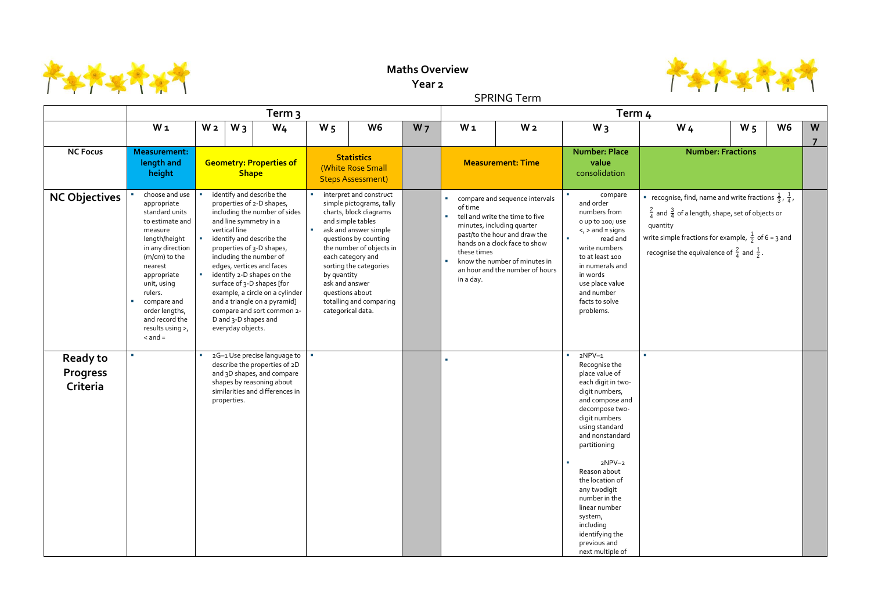

## **Maths Overview**

**Year 2**

SPRING Term

|                                                |                                                                                                                                                                                                                                                                                            |                |                                                            | Term 3                                                                                                                                                                                                                                                                                                                                                                                           |                               |                                                                                                                                                                                                                                                                                                    |                | Term <sub>4</sub>        |                                                                                                                                                                                                                                           |                                 |                                                                                                                                                                                                                                                                                                                                                       |                                                                    |          | W <sub>6</sub><br>W <sub>4</sub><br>W <sub>5</sub><br><b>Number: Fractions</b><br><b>•</b> recognise, find, name and write fractions $\frac{1}{3}$ , $\frac{1}{4}$ ,<br>$\frac{2}{4}$ and $\frac{3}{4}$ of a length, shape, set of objects or<br>write simple fractions for example, $\frac{1}{2}$ of 6 = 3 and<br>recognise the equivalence of $\frac{2}{4}$ and $\frac{1}{2}$ . |  |  |                     |
|------------------------------------------------|--------------------------------------------------------------------------------------------------------------------------------------------------------------------------------------------------------------------------------------------------------------------------------------------|----------------|------------------------------------------------------------|--------------------------------------------------------------------------------------------------------------------------------------------------------------------------------------------------------------------------------------------------------------------------------------------------------------------------------------------------------------------------------------------------|-------------------------------|----------------------------------------------------------------------------------------------------------------------------------------------------------------------------------------------------------------------------------------------------------------------------------------------------|----------------|--------------------------|-------------------------------------------------------------------------------------------------------------------------------------------------------------------------------------------------------------------------------------------|---------------------------------|-------------------------------------------------------------------------------------------------------------------------------------------------------------------------------------------------------------------------------------------------------------------------------------------------------------------------------------------------------|--------------------------------------------------------------------|----------|-----------------------------------------------------------------------------------------------------------------------------------------------------------------------------------------------------------------------------------------------------------------------------------------------------------------------------------------------------------------------------------|--|--|---------------------|
|                                                | $W_1$                                                                                                                                                                                                                                                                                      | W <sub>2</sub> | $W_3$                                                      | $W_4$                                                                                                                                                                                                                                                                                                                                                                                            | $W_5$                         | W <sub>6</sub>                                                                                                                                                                                                                                                                                     | W <sub>7</sub> |                          | W <sub>1</sub>                                                                                                                                                                                                                            | W <sub>2</sub>                  | $W_3$                                                                                                                                                                                                                                                                                                                                                 |                                                                    |          |                                                                                                                                                                                                                                                                                                                                                                                   |  |  | W<br>$\overline{7}$ |
| <b>NC Focus</b>                                | <b>Measurement:</b><br>length and<br>height                                                                                                                                                                                                                                                |                | <b>Shape</b>                                               | <b>Geometry: Properties of</b>                                                                                                                                                                                                                                                                                                                                                                   |                               | <b>Statistics</b><br>(White Rose Small<br><b>Steps Assessment)</b>                                                                                                                                                                                                                                 |                |                          | <b>Measurement: Time</b>                                                                                                                                                                                                                  |                                 | <b>Number: Place</b><br>value<br>consolidation                                                                                                                                                                                                                                                                                                        |                                                                    |          |                                                                                                                                                                                                                                                                                                                                                                                   |  |  |                     |
| <b>NC Objectives</b>                           | choose and use<br>appropriate<br>standard units<br>to estimate and<br>measure<br>length/height<br>in any direction<br>(m/cm) to the<br>nearest<br>appropriate<br>unit, using<br>rulers.<br>compare and<br>order lengths,<br>and record the<br>results using $>$ ,<br>$\alpha$ and $\alpha$ |                | vertical line<br>D and 3-D shapes and<br>everyday objects. | identify and describe the<br>properties of 2-D shapes,<br>including the number of sides<br>and line symmetry in a<br>identify and describe the<br>properties of 3-D shapes,<br>including the number of<br>edges, vertices and faces<br>identify 2-D shapes on the<br>surface of 3-D shapes [for<br>example, a circle on a cylinder<br>and a triangle on a pyramid]<br>compare and sort common 2- | by quantity<br>ask and answer | interpret and construct<br>simple pictograms, tally<br>charts, block diagrams<br>and simple tables<br>ask and answer simple<br>questions by counting<br>the number of objects in<br>each category and<br>sorting the categories<br>questions about<br>totalling and comparing<br>categorical data. |                | $\mathcal{L}_{\rm{max}}$ | compare and sequence intervals<br>of time<br>tell and write the time to five<br>minutes, including quarter<br>past/to the hour and draw the<br>hands on a clock face to show<br>these times<br>know the number of minutes in<br>in a day. | an hour and the number of hours | and order<br>numbers from<br>o up to 100; use<br>$\leq$ , $>$ and = signs<br>write numbers<br>to at least 100<br>in numerals and<br>in words<br>use place value<br>and number<br>facts to solve<br>problems.                                                                                                                                          | compare<br>read and                                                | quantity |                                                                                                                                                                                                                                                                                                                                                                                   |  |  |                     |
| <b>Ready to</b><br><b>Progress</b><br>Criteria |                                                                                                                                                                                                                                                                                            |                | properties.                                                | 2G-1 Use precise language to<br>describe the properties of 2D<br>and 3D shapes, and compare<br>shapes by reasoning about<br>similarities and differences in                                                                                                                                                                                                                                      |                               |                                                                                                                                                                                                                                                                                                    |                |                          |                                                                                                                                                                                                                                           |                                 | $2NPV-1$<br>$\mathbf{u}$<br>Recognise the<br>place value of<br>digit numbers,<br>decompose two-<br>digit numbers<br>using standard<br>partitioning<br>$\mathcal{L}_{\mathcal{A}}$<br>Reason about<br>the location of<br>any twodigit<br>number in the<br>linear number<br>system,<br>including<br>identifying the<br>previous and<br>next multiple of | each digit in two-<br>and compose and<br>and nonstandard<br>2NPV-2 | ٠        |                                                                                                                                                                                                                                                                                                                                                                                   |  |  |                     |

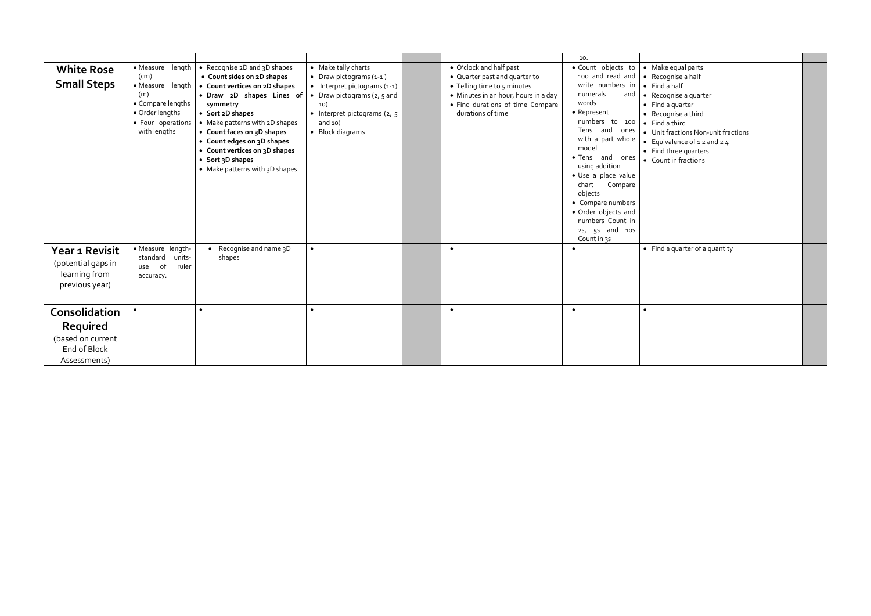|                                                                                       |                                                                                                                                  |                                                                                                                                                                                                                                                                                                                                               |                                                                                                                                                                                                      |                                                                                                                                                                                          | 10.                                                                                                                                                                                                                                                                                                                                                         |                                                                                                                                                                                                                                                                                                       |  |
|---------------------------------------------------------------------------------------|----------------------------------------------------------------------------------------------------------------------------------|-----------------------------------------------------------------------------------------------------------------------------------------------------------------------------------------------------------------------------------------------------------------------------------------------------------------------------------------------|------------------------------------------------------------------------------------------------------------------------------------------------------------------------------------------------------|------------------------------------------------------------------------------------------------------------------------------------------------------------------------------------------|-------------------------------------------------------------------------------------------------------------------------------------------------------------------------------------------------------------------------------------------------------------------------------------------------------------------------------------------------------------|-------------------------------------------------------------------------------------------------------------------------------------------------------------------------------------------------------------------------------------------------------------------------------------------------------|--|
| <b>White Rose</b><br><b>Small Steps</b>                                               | • Measure length<br>(cm)<br>• Measure length<br>(m)<br>• Compare lengths<br>• Order lengths<br>• Four operations<br>with lengths | • Recognise 2D and 3D shapes<br>• Count sides on 2D shapes<br>• Count vertices on 2D shapes<br>· Draw 2D shapes Lines of<br>symmetry<br>• Sort 2D shapes<br>• Make patterns with 2D shapes<br>• Count faces on 3D shapes<br>• Count edges on 3D shapes<br>• Count vertices on 3D shapes<br>• Sort 3D shapes<br>• Make patterns with 3D shapes | • Make tally charts<br>• Draw pictograms $(1-1)$<br>$\bullet$ Interpret pictograms (1-1)<br>• Draw pictograms $(2, 5, 5)$<br>10)<br>• Interpret pictograms $(2, 5)$<br>and $10)$<br>• Block diagrams | • O'clock and half past<br>• Quarter past and quarter to<br>• Telling time to 5 minutes<br>• Minutes in an hour, hours in a day<br>• Find durations of time Compare<br>durations of time | · Count objects to<br>100 and read and<br>write numbers in<br>numerals<br>words<br>• Represent<br>numbers to 100<br>Tens and ones<br>with a part whole<br>model<br>• Tens and ones<br>using addition<br>· Use a place value<br>chart<br>Compare<br>objects<br>• Compare numbers<br>· Order objects and<br>numbers Count in<br>2s, 5s and 10s<br>Count in 35 | • Make equal parts<br>• Recognise a half<br>$\bullet$ Find a half<br>and $\bullet$ Recognise a quarter<br>$\bullet$ Find a quarter<br>• Recognise a third<br>• Find a third<br>• Unit fractions Non-unit fractions<br>• Equivalence of $12$ and $24$<br>• Find three quarters<br>• Count in fractions |  |
| Year 1 Revisit<br>(potential gaps in<br>learning from<br>previous year)               | • Measure length-<br>units-<br>standard<br>of<br>ruler<br>use<br>accuracy.                                                       | Recognise and name 3D<br>shapes                                                                                                                                                                                                                                                                                                               | $\bullet$                                                                                                                                                                                            | $\bullet$                                                                                                                                                                                | $\bullet$                                                                                                                                                                                                                                                                                                                                                   | • Find a quarter of a quantity                                                                                                                                                                                                                                                                        |  |
| <b>Consolidation</b><br>Required<br>(based on current<br>End of Block<br>Assessments) |                                                                                                                                  |                                                                                                                                                                                                                                                                                                                                               | $\bullet$                                                                                                                                                                                            | $\bullet$                                                                                                                                                                                | $\bullet$                                                                                                                                                                                                                                                                                                                                                   | $\bullet$                                                                                                                                                                                                                                                                                             |  |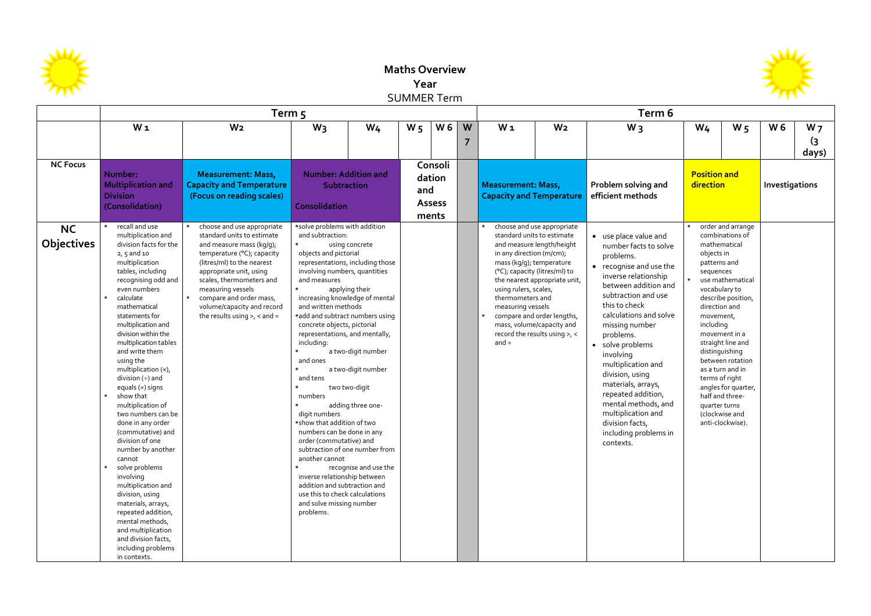

## **Maths Overview Year**  SUMMER Term

|                                |                                                                                                                                                                                                                                                                                                                                                                                                                                                                                                                                                                                                                                                                                                                                                                  | Term 5                                                                                                                                                                                                                                                                                                                   |                                                                                                                                                                                                                                                                                                                                                                                                                                                                                                                                                                                                                                                                                    |                                                                                                                                             | Term 6                                             |     |        |                                                                                                                                   |                                                                                                                                                                                                                                                        |                                                                                                                                                                                                                                                                                                                                                                                                                                                                     |                                                                                                                                                                                                               |                                                                                                                                                                                                         |                |                                           |
|--------------------------------|------------------------------------------------------------------------------------------------------------------------------------------------------------------------------------------------------------------------------------------------------------------------------------------------------------------------------------------------------------------------------------------------------------------------------------------------------------------------------------------------------------------------------------------------------------------------------------------------------------------------------------------------------------------------------------------------------------------------------------------------------------------|--------------------------------------------------------------------------------------------------------------------------------------------------------------------------------------------------------------------------------------------------------------------------------------------------------------------------|------------------------------------------------------------------------------------------------------------------------------------------------------------------------------------------------------------------------------------------------------------------------------------------------------------------------------------------------------------------------------------------------------------------------------------------------------------------------------------------------------------------------------------------------------------------------------------------------------------------------------------------------------------------------------------|---------------------------------------------------------------------------------------------------------------------------------------------|----------------------------------------------------|-----|--------|-----------------------------------------------------------------------------------------------------------------------------------|--------------------------------------------------------------------------------------------------------------------------------------------------------------------------------------------------------------------------------------------------------|---------------------------------------------------------------------------------------------------------------------------------------------------------------------------------------------------------------------------------------------------------------------------------------------------------------------------------------------------------------------------------------------------------------------------------------------------------------------|---------------------------------------------------------------------------------------------------------------------------------------------------------------------------------------------------------------|---------------------------------------------------------------------------------------------------------------------------------------------------------------------------------------------------------|----------------|-------------------------------------------|
|                                | W <sub>1</sub>                                                                                                                                                                                                                                                                                                                                                                                                                                                                                                                                                                                                                                                                                                                                                   | W <sub>2</sub>                                                                                                                                                                                                                                                                                                           | $W_3$                                                                                                                                                                                                                                                                                                                                                                                                                                                                                                                                                                                                                                                                              | $W_4$                                                                                                                                       | W <sub>5</sub>                                     | W 6 | W<br>7 | $W_1$                                                                                                                             | W <sub>2</sub>                                                                                                                                                                                                                                         | $W_3$                                                                                                                                                                                                                                                                                                                                                                                                                                                               | W <sub>4</sub>                                                                                                                                                                                                | $W_5$                                                                                                                                                                                                   | W <sub>6</sub> | W <sub>7</sub><br>$\overline{3}$<br>days) |
| <b>NC Focus</b>                | Number:<br><b>Multiplication and</b><br><b>Division</b><br>(Consolidation)                                                                                                                                                                                                                                                                                                                                                                                                                                                                                                                                                                                                                                                                                       | <b>Measurement: Mass,</b><br><b>Capacity and Temperature</b><br>(Focus on reading scales)                                                                                                                                                                                                                                | <b>Number: Addition and</b><br>Subtraction<br><b>Consolidation</b>                                                                                                                                                                                                                                                                                                                                                                                                                                                                                                                                                                                                                 |                                                                                                                                             | Consoli<br>dation<br>and<br><b>Assess</b><br>ments |     |        | <b>Measurement: Mass,</b><br><b>Capacity and Temperature</b>                                                                      |                                                                                                                                                                                                                                                        | Problem solving and<br>efficient methods                                                                                                                                                                                                                                                                                                                                                                                                                            | <b>Position and</b><br>direction                                                                                                                                                                              |                                                                                                                                                                                                         | Investigations |                                           |
| <b>NC</b><br><b>Objectives</b> | recall and use<br>multiplication and<br>division facts for the<br>$2, 5$ and 10<br>multiplication<br>tables, including<br>recognising odd and<br>even numbers<br>calculate<br>mathematical<br>statements for<br>multiplication and<br>division within the<br>multiplication tables<br>and write them<br>using the<br>multiplication (x),<br>division $(+)$ and<br>equals (=) signs<br>show that<br>multiplication of<br>two numbers can be<br>done in any order<br>(commutative) and<br>division of one<br>number by another<br>cannot<br>solve problems<br>involving<br>multiplication and<br>division, using<br>materials, arrays,<br>repeated addition,<br>mental methods,<br>and multiplication<br>and division facts,<br>including problems<br>in contexts. | choose and use appropriate<br>standard units to estimate<br>and measure mass (kg/g);<br>temperature (°C); capacity<br>(litres/ml) to the nearest<br>appropriate unit, using<br>scales, thermometers and<br>measuring vessels<br>compare and order mass,<br>volume/capacity and record<br>the results using $>$ , < and = | solve problems with addition<br>and subtraction:<br>objects and pictorial<br>representations, including those<br>involving numbers, quantities<br>and measures<br>increasing knowledge of mental<br>and written methods<br>add and subtract numbers using<br>concrete objects, pictorial<br>representations, and mentally,<br>including:<br>and ones<br>and tens<br>numbers<br>digit numbers<br>"show that addition of two<br>numbers can be done in any<br>order (commutative) and<br>subtraction of one number from<br>another cannot<br>inverse relationship between<br>addition and subtraction and<br>use this to check calculations<br>and solve missing number<br>problems. | using concrete<br>applying their<br>a two-digit number<br>a two-digit number<br>two two-digit<br>adding three one-<br>recognise and use the |                                                    |     |        | in any direction (m/cm);<br>mass (kg/g); temperature<br>using rulers, scales,<br>thermometers and<br>measuring vessels<br>$and =$ | choose and use appropriate<br>standard units to estimate<br>and measure length/height<br>(°C); capacity (litres/ml) to<br>the nearest appropriate unit,<br>compare and order lengths,<br>mass, volume/capacity and<br>record the results using $>$ , < | • use place value and<br>number facts to solve<br>problems.<br>• recognise and use the<br>inverse relationship<br>between addition and<br>subtraction and use<br>this to check<br>calculations and solve<br>missing number<br>problems.<br>• solve problems<br>involving<br>multiplication and<br>division, using<br>materials, arrays,<br>repeated addition,<br>mental methods, and<br>multiplication and<br>division facts,<br>including problems in<br>contexts. | mathematical<br>objects in<br>patterns and<br>sequences<br>vocabulary to<br>direction and<br>movement,<br>including<br>distinguishing<br>terms of right<br>half and three-<br>quarter turns<br>(clockwise and | order and arrange<br>combinations of<br>use mathematical<br>describe position,<br>movement in a<br>straight line and<br>between rotation<br>as a turn and in<br>angles for quarter,<br>anti-clockwise). |                |                                           |

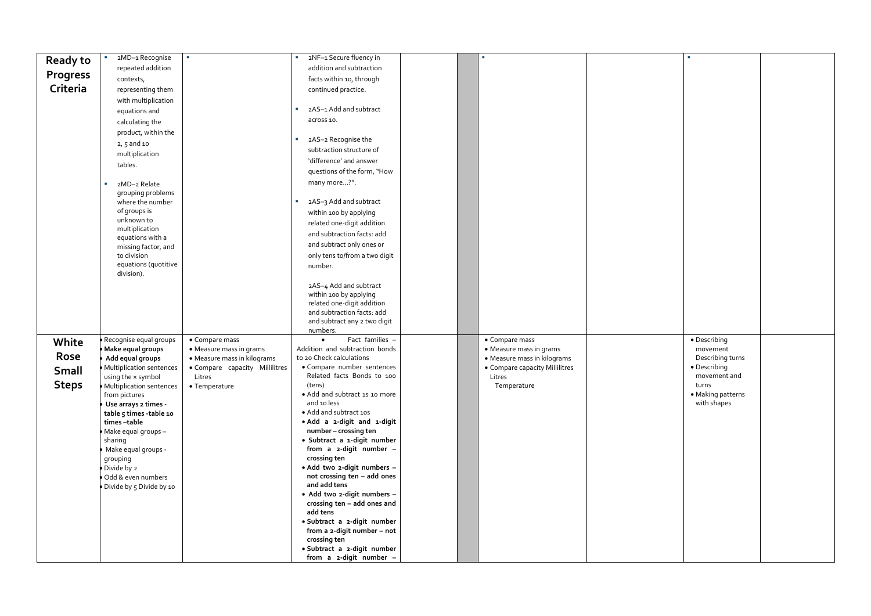| <b>Ready to</b> | 2MD-1 Recognise                                 | $\mathbf{r}$                                                  |    | 2NF-1 Secure fluency in                                    |  | п                                                             |  |
|-----------------|-------------------------------------------------|---------------------------------------------------------------|----|------------------------------------------------------------|--|---------------------------------------------------------------|--|
|                 | repeated addition                               |                                                               |    | addition and subtraction                                   |  |                                                               |  |
| <b>Progress</b> | contexts,                                       |                                                               |    | facts within 10, through                                   |  |                                                               |  |
| Criteria        | representing them                               |                                                               |    | continued practice.                                        |  |                                                               |  |
|                 | with multiplication                             |                                                               |    |                                                            |  |                                                               |  |
|                 | equations and                                   |                                                               |    | 2AS-1 Add and subtract                                     |  |                                                               |  |
|                 | calculating the                                 |                                                               |    | across 10.                                                 |  |                                                               |  |
|                 | product, within the                             |                                                               |    |                                                            |  |                                                               |  |
|                 | $2, 5$ and 10                                   |                                                               | a. | 2AS-2 Recognise the                                        |  |                                                               |  |
|                 | multiplication                                  |                                                               |    | subtraction structure of                                   |  |                                                               |  |
|                 | tables.                                         |                                                               |    | 'difference' and answer                                    |  |                                                               |  |
|                 |                                                 |                                                               |    | questions of the form, "How                                |  |                                                               |  |
|                 | 2MD-2 Relate<br>$\mathcal{L}_{\mathcal{A}}$     |                                                               |    | many more?".                                               |  |                                                               |  |
|                 | grouping problems<br>where the number           |                                                               | a. | 2AS-3 Add and subtract                                     |  |                                                               |  |
|                 | of groups is                                    |                                                               |    | within 100 by applying                                     |  |                                                               |  |
|                 | unknown to                                      |                                                               |    | related one-digit addition                                 |  |                                                               |  |
|                 | multiplication                                  |                                                               |    | and subtraction facts: add                                 |  |                                                               |  |
|                 | equations with a<br>missing factor, and         |                                                               |    | and subtract only ones or                                  |  |                                                               |  |
|                 | to division                                     |                                                               |    | only tens to/from a two digit                              |  |                                                               |  |
|                 | equations (quotitive                            |                                                               |    | number.                                                    |  |                                                               |  |
|                 | division).                                      |                                                               |    |                                                            |  |                                                               |  |
|                 |                                                 |                                                               |    | 2AS-4 Add and subtract                                     |  |                                                               |  |
|                 |                                                 |                                                               |    | within 100 by applying                                     |  |                                                               |  |
|                 |                                                 |                                                               |    | related one-digit addition<br>and subtraction facts: add   |  |                                                               |  |
|                 |                                                 |                                                               |    | and subtract any 2 two digit                               |  |                                                               |  |
|                 |                                                 |                                                               |    | numbers.                                                   |  |                                                               |  |
| White           | Recognise equal groups                          | • Compare mass                                                |    | Fact families -<br>$\bullet$                               |  | • Compare mass                                                |  |
| Rose            | $\bullet$ Make equal groups<br>Add equal groups | • Measure mass in grams                                       |    | Addition and subtraction bonds<br>to 20 Check calculations |  | • Measure mass in grams                                       |  |
|                 | <b>Multiplication sentences</b>                 | • Measure mass in kilograms<br>• Compare capacity Millilitres |    | • Compare number sentences                                 |  | • Measure mass in kilograms<br>• Compare capacity Millilitres |  |
| Small           | using the x symbol                              | Litres                                                        |    | Related facts Bonds to 100                                 |  | Litres                                                        |  |
| <b>Steps</b>    | • Multiplication sentences                      | • Temperature                                                 |    | (tens)                                                     |  | Temperature                                                   |  |
|                 | from pictures                                   |                                                               |    | · Add and subtract 1s 10 more                              |  |                                                               |  |
|                 | Use arrays 2 times -<br>table 5 times -table 10 |                                                               |    | and 10 less<br>• Add and subtract 10s                      |  |                                                               |  |
|                 | times-table                                     |                                                               |    | • Add a 2-digit and 1-digit                                |  |                                                               |  |
|                 | · Make equal groups -                           |                                                               |    | number - crossing ten                                      |  |                                                               |  |
|                 | sharing                                         |                                                               |    | · Subtract a 1-digit number                                |  |                                                               |  |
|                 | Make equal groups -                             |                                                               |    | from a 2-digit number -<br>crossing ten                    |  |                                                               |  |
|                 | grouping<br>Divide by 2                         |                                                               |    | · Add two 2-digit numbers -                                |  |                                                               |  |
|                 | Odd & even numbers                              |                                                               |    | not crossing ten - add ones                                |  |                                                               |  |
|                 | Divide by 5 Divide by 10                        |                                                               |    | and add tens                                               |  |                                                               |  |
|                 |                                                 |                                                               |    | · Add two 2-digit numbers -                                |  |                                                               |  |
|                 |                                                 |                                                               |    | crossing ten - add ones and<br>add tens                    |  |                                                               |  |
|                 |                                                 |                                                               |    | · Subtract a 2-digit number                                |  |                                                               |  |
|                 |                                                 |                                                               |    | from a 2-digit number - not                                |  |                                                               |  |
|                 |                                                 |                                                               |    | crossing ten                                               |  |                                                               |  |
|                 |                                                 |                                                               |    | · Subtract a 2-digit number                                |  |                                                               |  |
|                 |                                                 |                                                               |    | from a 2-digit number -                                    |  |                                                               |  |

| L,                |  |
|-------------------|--|
|                   |  |
|                   |  |
|                   |  |
|                   |  |
|                   |  |
|                   |  |
|                   |  |
|                   |  |
|                   |  |
|                   |  |
|                   |  |
|                   |  |
|                   |  |
|                   |  |
|                   |  |
|                   |  |
|                   |  |
|                   |  |
|                   |  |
|                   |  |
|                   |  |
|                   |  |
|                   |  |
|                   |  |
|                   |  |
|                   |  |
|                   |  |
|                   |  |
|                   |  |
|                   |  |
|                   |  |
|                   |  |
|                   |  |
|                   |  |
|                   |  |
|                   |  |
|                   |  |
|                   |  |
|                   |  |
|                   |  |
|                   |  |
|                   |  |
|                   |  |
|                   |  |
|                   |  |
|                   |  |
|                   |  |
|                   |  |
|                   |  |
|                   |  |
|                   |  |
| · Describing      |  |
|                   |  |
| movement          |  |
| Describing turns  |  |
|                   |  |
| · Describing      |  |
|                   |  |
| movement and      |  |
| turns             |  |
|                   |  |
| · Making patterns |  |
| with shapes       |  |
|                   |  |
|                   |  |
|                   |  |
|                   |  |
|                   |  |
|                   |  |
|                   |  |
|                   |  |
|                   |  |
|                   |  |
|                   |  |
|                   |  |
|                   |  |
|                   |  |
|                   |  |
|                   |  |
|                   |  |
|                   |  |
|                   |  |
|                   |  |
|                   |  |
|                   |  |
|                   |  |
|                   |  |
|                   |  |
|                   |  |
|                   |  |
|                   |  |